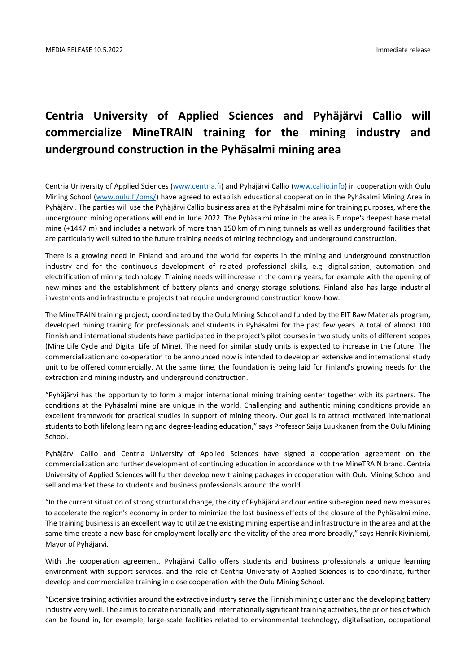# **Centria University of Applied Sciences and Pyhäjärvi Callio will commercialize MineTRAIN training for the mining industry and underground construction in the Pyhäsalmi mining area**

Centria University of Applied Sciences [\(www.centria.fi\)](http://www.centria.fi/) and Pyhäjärvi Callio [\(www.callio.info\)](http://www.callio.info/) in cooperation with Oulu Mining School [\(www.oulu.fi/oms/\)](http://www.oulu.fi/oms/) have agreed to establish educational cooperation in the Pyhäsalmi Mining Area in Pyhäjärvi. The parties will use the Pyhäjärvi Callio business area at the Pyhäsalmi mine for training purposes, where the underground mining operations will end in June 2022. The Pyhäsalmi mine in the area is Europe's deepest base metal mine (+1447 m) and includes a network of more than 150 km of mining tunnels as well as underground facilities that are particularly well suited to the future training needs of mining technology and underground construction.

There is a growing need in Finland and around the world for experts in the mining and underground construction industry and for the continuous development of related professional skills, e.g. digitalisation, automation and electrification of mining technology. Training needs will increase in the coming years, for example with the opening of new mines and the establishment of battery plants and energy storage solutions. Finland also has large industrial investments and infrastructure projects that require underground construction know-how.

The MineTRAIN training project, coordinated by the Oulu Mining School and funded by the EIT Raw Materials program, developed mining training for professionals and students in Pyhäsalmi for the past few years. A total of almost 100 Finnish and international students have participated in the project's pilot courses in two study units of different scopes (Mine Life Cycle and Digital Life of Mine). The need for similar study units is expected to increase in the future. The commercialization and co-operation to be announced now is intended to develop an extensive and international study unit to be offered commercially. At the same time, the foundation is being laid for Finland's growing needs for the extraction and mining industry and underground construction.

"Pyhäjärvi has the opportunity to form a major international mining training center together with its partners. The conditions at the Pyhäsalmi mine are unique in the world. Challenging and authentic mining conditions provide an excellent framework for practical studies in support of mining theory. Our goal is to attract motivated international students to both lifelong learning and degree-leading education," says Professor Saija Luukkanen from the Oulu Mining School.

Pyhäjärvi Callio and Centria University of Applied Sciences have signed a cooperation agreement on the commercialization and further development of continuing education in accordance with the MineTRAIN brand. Centria University of Applied Sciences will further develop new training packages in cooperation with Oulu Mining School and sell and market these to students and business professionals around the world.

"In the current situation of strong structural change, the city of Pyhäjärvi and our entire sub-region need new measures to accelerate the region's economy in order to minimize the lost business effects of the closure of the Pyhäsalmi mine. The training business is an excellent way to utilize the existing mining expertise and infrastructure in the area and at the same time create a new base for employment locally and the vitality of the area more broadly," says Henrik Kiviniemi, Mayor of Pyhäjärvi.

With the cooperation agreement, Pyhäjärvi Callio offers students and business professionals a unique learning environment with support services, and the role of Centria University of Applied Sciences is to coordinate, further develop and commercialize training in close cooperation with the Oulu Mining School.

"Extensive training activities around the extractive industry serve the Finnish mining cluster and the developing battery industry very well. The aim is to create nationally and internationally significant training activities, the priorities of which can be found in, for example, large-scale facilities related to environmental technology, digitalisation, occupational